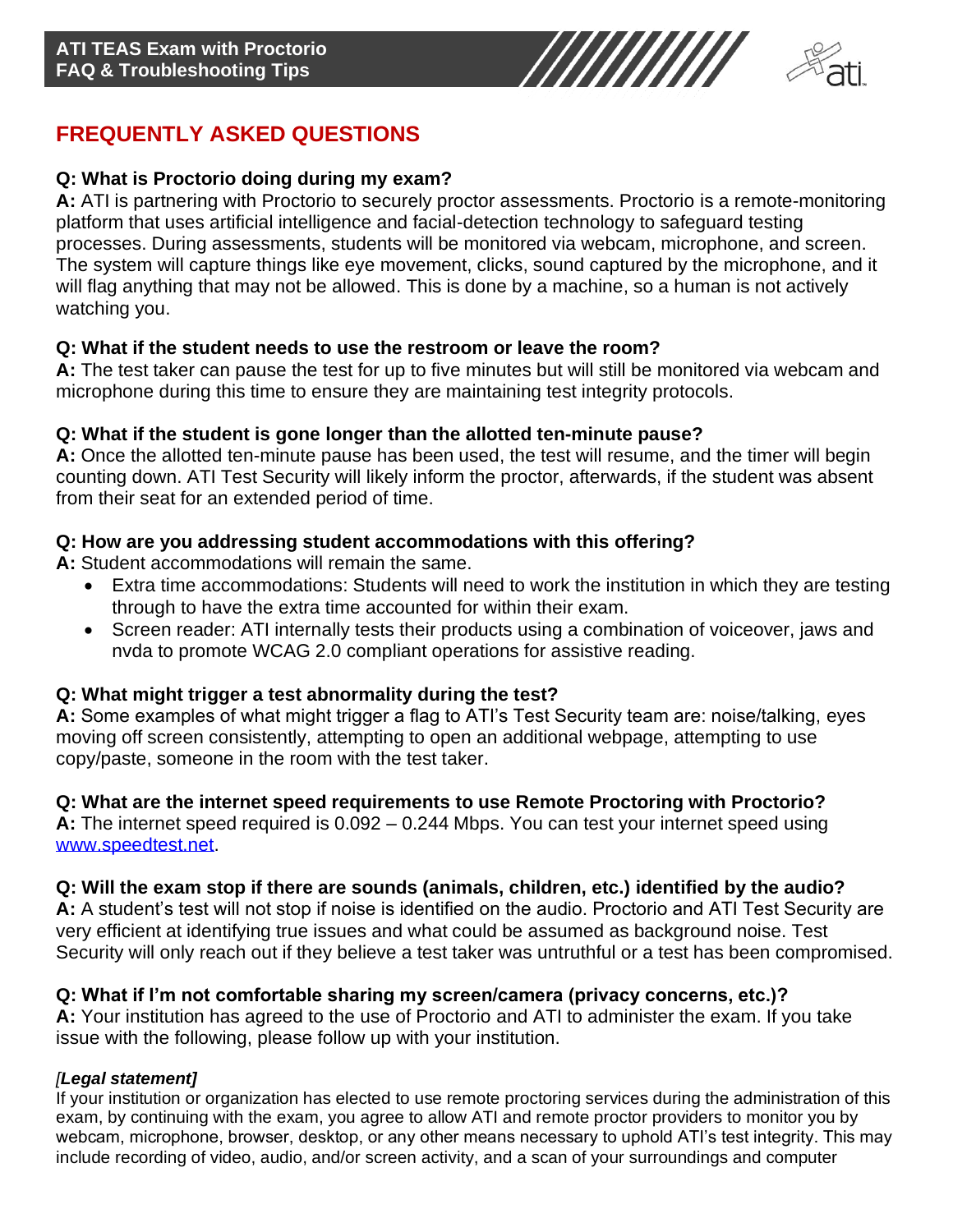



# **FREQUENTLY ASKED QUESTIONS**

## **Q: What is Proctorio doing during my exam?**

**A:** ATI is partnering with Proctorio to securely proctor assessments. Proctorio is a remote-monitoring platform that uses artificial intelligence and facial-detection technology to safeguard testing processes. During assessments, students will be monitored via webcam, microphone, and screen. The system will capture things like eye movement, clicks, sound captured by the microphone, and it will flag anything that may not be allowed. This is done by a machine, so a human is not actively watching you.

#### **Q: What if the student needs to use the restroom or leave the room?**

**A:** The test taker can pause the test for up to five minutes but will still be monitored via webcam and microphone during this time to ensure they are maintaining test integrity protocols.

#### **Q: What if the student is gone longer than the allotted ten-minute pause?**

**A:** Once the allotted ten-minute pause has been used, the test will resume, and the timer will begin counting down. ATI Test Security will likely inform the proctor, afterwards, if the student was absent from their seat for an extended period of time.

#### **Q: How are you addressing student accommodations with this offering?**

**A:** Student accommodations will remain the same.

- Extra time accommodations: Students will need to work the institution in which they are testing through to have the extra time accounted for within their exam.
- Screen reader: ATI internally tests their products using a combination of voiceover, jaws and nvda to promote WCAG 2.0 compliant operations for assistive reading.

### **Q: What might trigger a test abnormality during the test?**

**A:** Some examples of what might trigger a flag to ATI's Test Security team are: noise/talking, eyes moving off screen consistently, attempting to open an additional webpage, attempting to use copy/paste, someone in the room with the test taker.

### **Q: What are the internet speed requirements to use Remote Proctoring with Proctorio?**

**A:** The internet speed required is 0.092 – 0.244 Mbps. You can test your internet speed using [www.speedtest.net.](https://www.speedtest.net/)

### **Q: Will the exam stop if there are sounds (animals, children, etc.) identified by the audio?**

**A:** A student's test will not stop if noise is identified on the audio. Proctorio and ATI Test Security are very efficient at identifying true issues and what could be assumed as background noise. Test Security will only reach out if they believe a test taker was untruthful or a test has been compromised.

### **Q: What if I'm not comfortable sharing my screen/camera (privacy concerns, etc.)?**

**A:** Your institution has agreed to the use of Proctorio and ATI to administer the exam. If you take issue with the following, please follow up with your institution.

### *[Legal statement]*

If your institution or organization has elected to use remote proctoring services during the administration of this exam, by continuing with the exam, you agree to allow ATI and remote proctor providers to monitor you by webcam, microphone, browser, desktop, or any other means necessary to uphold ATI's test integrity. This may include recording of video, audio, and/or screen activity, and a scan of your surroundings and computer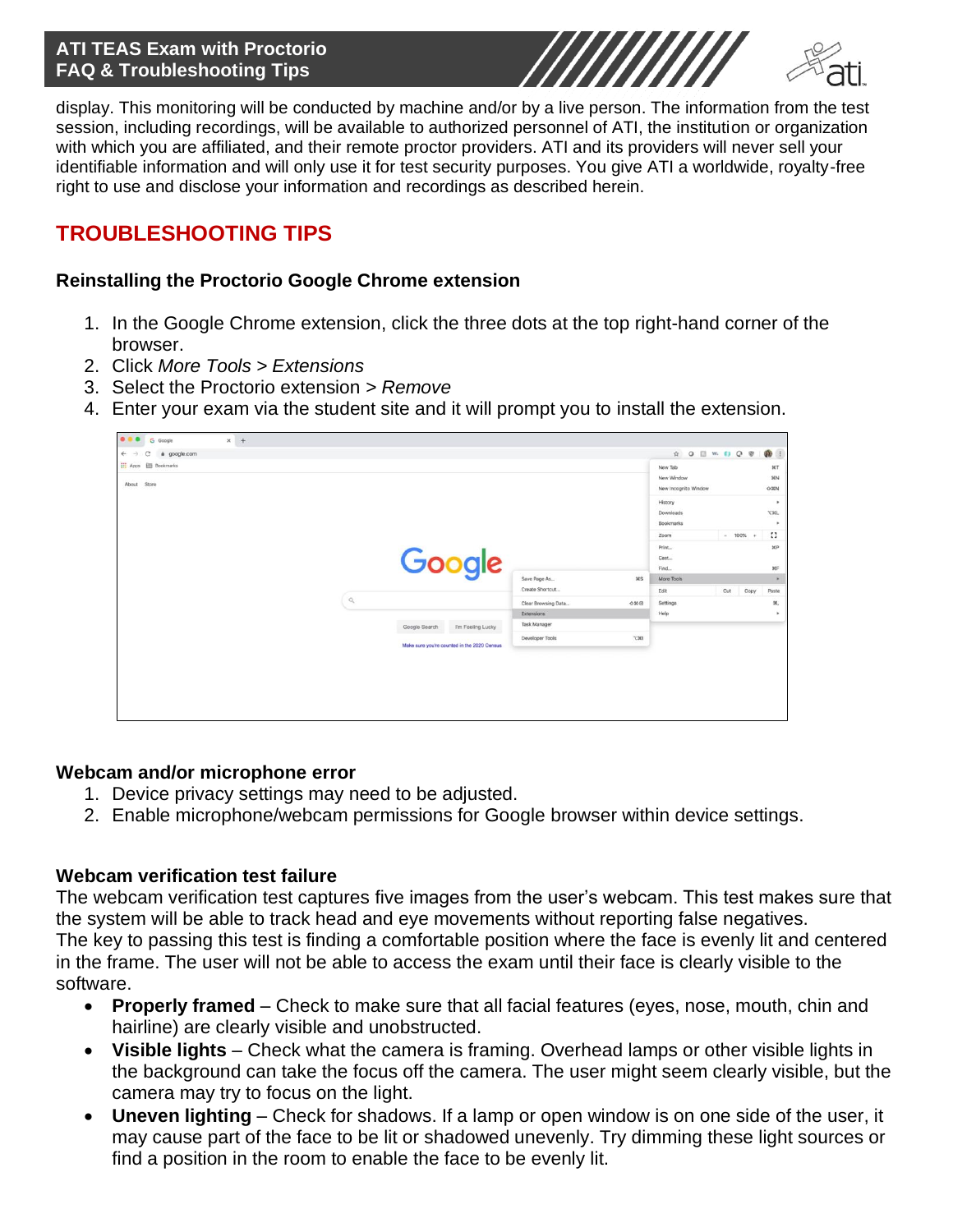### **ATI TEAS Exam with Proctorio FAQ & Troubleshooting Tips**



display. This monitoring will be conducted by machine and/or by a live person. The information from the test session, including recordings, will be available to authorized personnel of ATI, the institution or organization with which you are affiliated, and their remote proctor providers. ATI and its providers will never sell your identifiable information and will only use it for test security purposes. You give ATI a worldwide, royalty-free right to use and disclose your information and recordings as described herein.

## **TROUBLESHOOTING TIPS**

#### **Reinstalling the Proctorio Google Chrome extension**

- 1. In the Google Chrome extension, click the three dots at the top right-hand corner of the browser.
- 2. Click *More Tools > Extensions*
- 3. Select the Proctorio extension > *Remove*
- 4. Enter your exam via the student site and it will prompt you to install the extension.

| $x +$<br>0.0.0<br>G Google           |                                             |                                                    |                      |                           |
|--------------------------------------|---------------------------------------------|----------------------------------------------------|----------------------|---------------------------|
| C.<br>a google.com<br>$\leftarrow$   |                                             |                                                    | ☆ Q Ⅲ W. 日 Q ®       | $\mathbf{0}$              |
| <b>III</b> Apps <b>EII</b> Bookmarks |                                             |                                                    | New Tab              | 36T                       |
| About Store                          |                                             |                                                    | New Window           | 30N                       |
|                                      |                                             |                                                    | New Incognito Window | OWN                       |
|                                      |                                             |                                                    | History              | $\bullet$                 |
|                                      |                                             |                                                    | Downloads            | xx                        |
|                                      |                                             |                                                    | Bookmarks            |                           |
|                                      |                                             |                                                    | $- 100\% +$<br>Zoom  | $\mathbb{C}^*$            |
|                                      |                                             |                                                    | Print                | 16P                       |
|                                      |                                             |                                                    | Cast.                |                           |
|                                      | Google                                      | $3$<br>Save Page As                                | Find<br>More Tools   | 3CF<br>$\mathbf{r}$       |
|                                      |                                             | Create Shortcut                                    | Edit<br>Cut          |                           |
|                                      | $\mathbb{Q}$                                |                                                    | Copy                 | Paste                     |
|                                      |                                             | Clear Browsing Data<br>$0$ X $\odot$<br>Extensions | Settings<br>Help     | 30,<br>$\boldsymbol{\mu}$ |
|                                      |                                             | Task Manager                                       |                      |                           |
|                                      | Google Search<br>I'm Feeling Lucky          |                                                    |                      |                           |
|                                      | Make sure you're counted in the 2020 Census | T301<br>Developer Tools                            |                      |                           |
|                                      |                                             |                                                    |                      |                           |
|                                      |                                             |                                                    |                      |                           |
|                                      |                                             |                                                    |                      |                           |
|                                      |                                             |                                                    |                      |                           |
|                                      |                                             |                                                    |                      |                           |
|                                      |                                             |                                                    |                      |                           |

#### **Webcam and/or microphone error**

- 1. Device privacy settings may need to be adjusted.
- 2. Enable microphone/webcam permissions for Google browser within device settings.

#### **Webcam verification test failure**

The webcam verification test captures five images from the user's webcam. This test makes sure that the system will be able to track head and eye movements without reporting false negatives. The key to passing this test is finding a comfortable position where the face is evenly lit and centered in the frame. The user will not be able to access the exam until their face is clearly visible to the software.

- **Properly framed** Check to make sure that all facial features (eyes, nose, mouth, chin and hairline) are clearly visible and unobstructed.
- **Visible lights** Check what the camera is framing. Overhead lamps or other visible lights in the background can take the focus off the camera. The user might seem clearly visible, but the camera may try to focus on the light.
- **Uneven lighting** Check for shadows. If a lamp or open window is on one side of the user, it may cause part of the face to be lit or shadowed unevenly. Try dimming these light sources or find a position in the room to enable the face to be evenly lit.